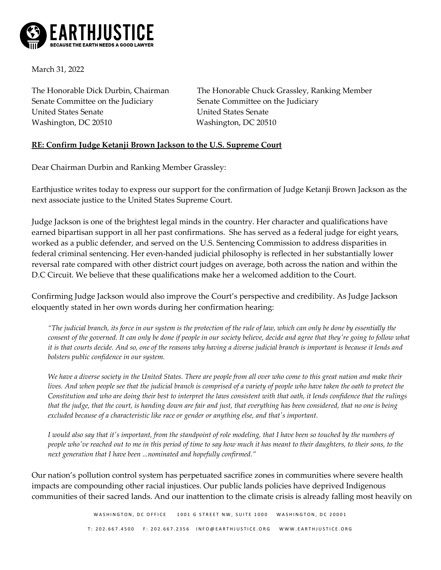

March 31, 2022

Senate Committee on the Judiciary Senate Committee on the Judiciary United States Senate United States Senate Washington, DC 20510 Washington, DC 20510

The Honorable Dick Durbin, Chairman The Honorable Chuck Grassley, Ranking Member

## **RE: Confirm Judge Ketanji Brown Jackson to the U.S. Supreme Court**

Dear Chairman Durbin and Ranking Member Grassley:

Earthjustice writes today to express our support for the confirmation of Judge Ketanji Brown Jackson as the next associate justice to the United States Supreme Court.

Judge Jackson is one of the brightest legal minds in the country. Her character and qualifications have earned bipartisan support in all her past confirmations. She has served as a federal judge for eight years, worked as a public defender, and served on the U.S. Sentencing Commission to address disparities in federal criminal sentencing. Her even-handed judicial philosophy is reflected in her substantially lower reversal rate compared with other district court judges on average, both across the nation and within the D.C Circuit. We believe that these qualifications make her a welcomed addition to the Court.

Confirming Judge Jackson would also improve the Court's perspective and credibility. As Judge Jackson eloquently stated in her own words during her confirmation hearing:

*"The judicial branch, its force in our system is the protection of the rule of law, which can only be done by essentially the consent of the governed. It can only be done if people in our society believe, decide and agree that they're going to follow what it is that courts decide. And so, one of the reasons why having a diverse judicial branch is important is because it lends and bolsters public confidence in our system.* 

*We have a diverse society in the United States. There are people from all over who come to this great nation and make their lives. And when people see that the judicial branch is comprised of a variety of people who have taken the oath to protect the Constitution and who are doing their best to interpret the laws consistent with that oath, it lends confidence that the rulings that the judge, that the court, is handing down are fair and just, that everything has been considered, that no one is being excluded because of a characteristic like race or gender or anything else, and that's important.* 

*I would also say that it's important, from the standpoint of role modeling, that I have been so touched by the numbers of people who've reached out to me in this period of time to say how much it has meant to their daughters, to their sons, to the next generation that I have been ...nominated and hopefully confirmed."*

Our nation's pollution control system has perpetuated sacrifice zones in communities where severe health impacts are compounding other racial injustices. Our public lands policies have deprived Indigenous communities of their sacred lands. And our inattention to the climate crisis is already falling most heavily on